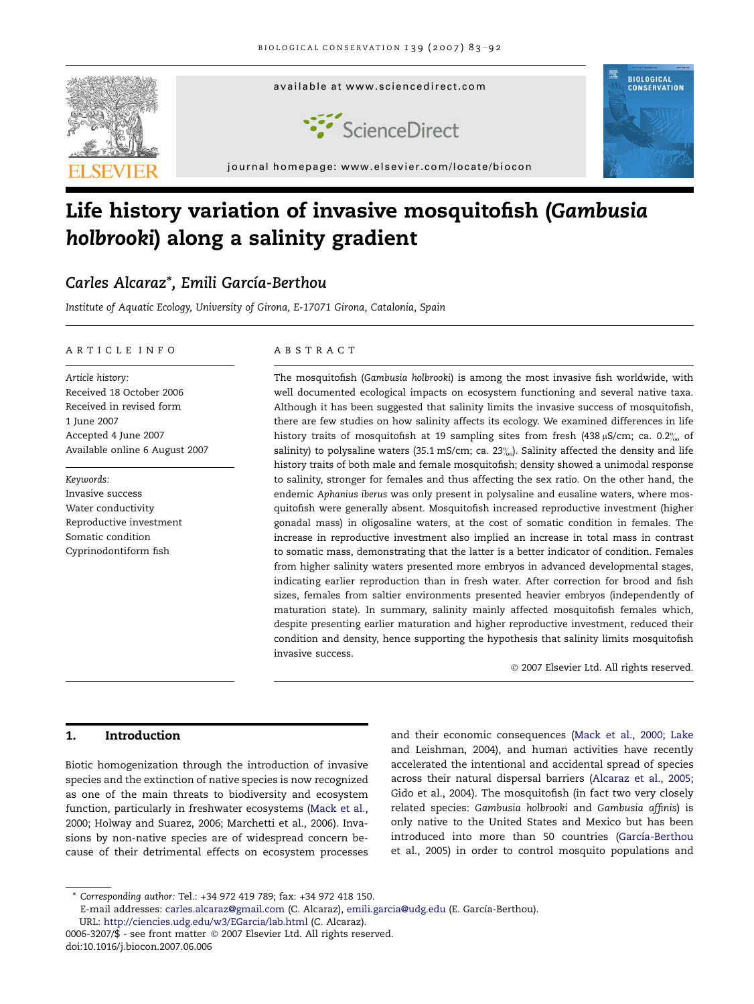

# Life history variation of invasive mosquitofish (Gambusia holbrooki) along a salinity gradient

## Carles Alcaraz\*, Emili García-Berthou

Institute of Aquatic Ecology, University of Girona, E-17071 Girona, Catalonia, Spain

## ARTICLE INFO

Article history: Received 18 October 2006 Received in revised form 1 June 2007 Accepted 4 June 2007 Available online 6 August 2007

Keywords: Invasive success Water conductivity Reproductive investment Somatic condition Cyprinodontiform fish

#### ABSTRACT

The mosquitofish (Gambusia holbrooki) is among the most invasive fish worldwide, with well documented ecological impacts on ecosystem functioning and several native taxa. Although it has been suggested that salinity limits the invasive success of mosquitofish, there are few studies on how salinity affects its ecology. We examined differences in life history traits of mosquitofish at 19 sampling sites from fresh (438  $\mu$ S/cm; ca. 0.2 $\%$  of salinity) to polysaline waters (35.1 mS/cm; ca.  $23\%$ ). Salinity affected the density and life history traits of both male and female mosquitofish; density showed a unimodal response to salinity, stronger for females and thus affecting the sex ratio. On the other hand, the endemic Aphanius iberus was only present in polysaline and eusaline waters, where mosquitofish were generally absent. Mosquitofish increased reproductive investment (higher gonadal mass) in oligosaline waters, at the cost of somatic condition in females. The increase in reproductive investment also implied an increase in total mass in contrast to somatic mass, demonstrating that the latter is a better indicator of condition. Females from higher salinity waters presented more embryos in advanced developmental stages, indicating earlier reproduction than in fresh water. After correction for brood and fish sizes, females from saltier environments presented heavier embryos (independently of maturation state). In summary, salinity mainly affected mosquitofish females which, despite presenting earlier maturation and higher reproductive investment, reduced their condition and density, hence supporting the hypothesis that salinity limits mosquitofish invasive success.

© 2007 Elsevier Ltd. All rights reserved.

## 1. Introduction

Biotic homogenization through the introduction of invasive species and the extinction of native species is now recognized as one of the main threats to biodiversity and ecosystem function, particularly in freshwater ecosystems [\(Mack et al.,](#page-9-0) [2000; Holway and Suarez, 2006; Marchetti et al., 2006](#page-9-0)). Invasions by non-native species are of widespread concern because of their detrimental effects on ecosystem processes

and their economic consequences ([Mack et al., 2000; Lake](#page-9-0) [and Leishman, 2004](#page-9-0)), and human activities have recently accelerated the intentional and accidental spread of species across their natural dispersal barriers [\(Alcaraz et al., 2005;](#page-9-0) [Gido et al., 2004\)](#page-9-0). The mosquitofish (in fact two very closely related species: Gambusia holbrooki and Gambusia affinis) is only native to the United States and Mexico but has been introduced into more than 50 countries (García-Berthou [et al., 2005\)](#page-9-0) in order to control mosquito populations and

<sup>\*</sup> Corresponding author: Tel.: +34 972 419 789; fax: +34 972 418 150.

E-mail addresses: [carles.alcaraz@gmail.com](mailto:carles.alcaraz@gmail.com) (C. Alcaraz), [emili.garcia@udg.edu](mailto:emili.garcia@udg.edu) (E. García-Berthou). URL: <http://ciencies.udg.edu/w3/EGarcia/lab.html> (C. Alcaraz).

<sup>0006-3207/\$ -</sup> see front matter © 2007 Elsevier Ltd. All rights reserved. doi:10.1016/j.biocon.2007.06.006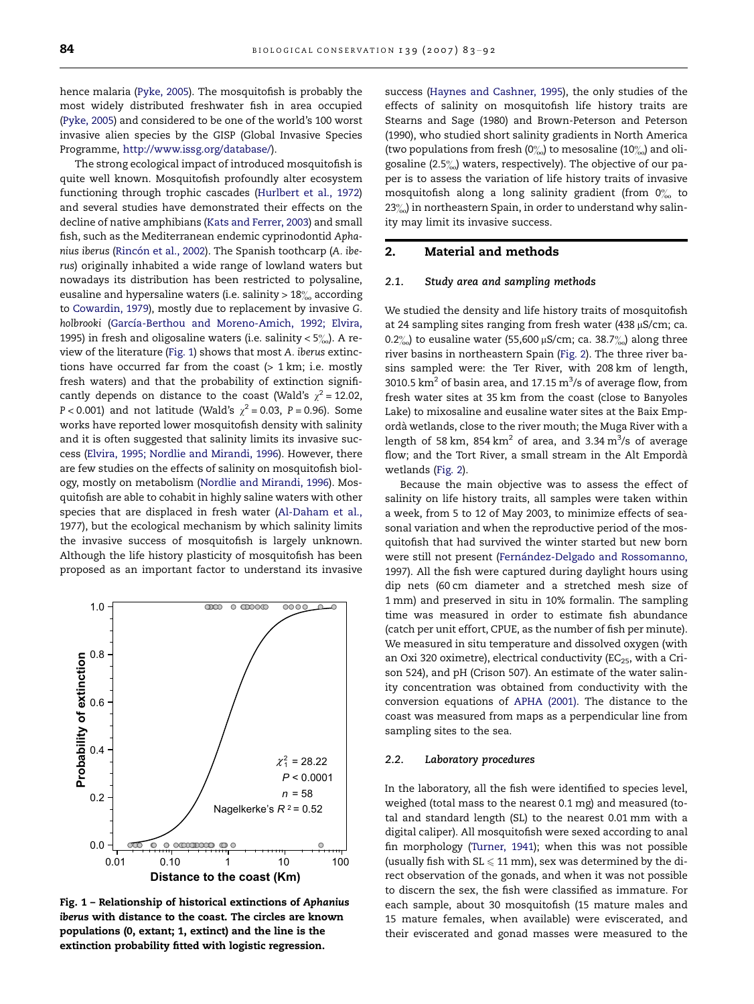<span id="page-1-0"></span>hence malaria ([Pyke, 2005](#page-9-0)). The mosquitofish is probably the most widely distributed freshwater fish in area occupied ([Pyke, 2005\)](#page-9-0) and considered to be one of the world's 100 worst invasive alien species by the GISP (Global Invasive Species Programme, <http://www.issg.org/database/>).

The strong ecological impact of introduced mosquitofish is quite well known. Mosquitofish profoundly alter ecosystem functioning through trophic cascades ([Hurlbert et al., 1972\)](#page-9-0) and several studies have demonstrated their effects on the decline of native amphibians ([Kats and Ferrer, 2003\)](#page-9-0) and small fish, such as the Mediterranean endemic cyprinodontid Aphanius iberus (Rincón et al., 2002). The Spanish toothcarp (A. iberus) originally inhabited a wide range of lowland waters but nowadays its distribution has been restricted to polysaline, eusaline and hypersaline waters (i.e. salinity  $> 18\%$  according to [Cowardin, 1979](#page-9-0)), mostly due to replacement by invasive G. holbrooki (García-Berthou and Moreno-Amich, 1992; Elvira, [1995\)](#page-9-0) in fresh and oligosaline waters (i.e. salinity  $< 5\%$ ). A review of the literature (Fig. 1) shows that most A. iberus extinctions have occurred far from the coast  $(> 1 \text{ km}; i.e.$  mostly fresh waters) and that the probability of extinction significantly depends on distance to the coast (Wald's  $\chi^2$  = 12.02, P < 0.001) and not latitude (Wald's  $\chi^2$  = 0.03, P = 0.96). Some works have reported lower mosquitofish density with salinity and it is often suggested that salinity limits its invasive success ([Elvira, 1995; Nordlie and Mirandi, 1996\)](#page-9-0). However, there are few studies on the effects of salinity on mosquitofish biology, mostly on metabolism [\(Nordlie and Mirandi, 1996\)](#page-9-0). Mosquitofish are able to cohabit in highly saline waters with other species that are displaced in fresh water ([Al-Daham et al.,](#page-9-0) [1977\)](#page-9-0), but the ecological mechanism by which salinity limits the invasive success of mosquitofish is largely unknown. Although the life history plasticity of mosquitofish has been proposed as an important factor to understand its invasive



Fig. 1 – Relationship of historical extinctions of Aphanius iberus with distance to the coast. The circles are known populations (0, extant; 1, extinct) and the line is the extinction probability fitted with logistic regression.

success ([Haynes and Cashner, 1995\)](#page-9-0), the only studies of the effects of salinity on mosquitofish life history traits are [Stearns and Sage \(1980\) and Brown-Peterson and Peterson](#page-9-0) [\(1990\),](#page-9-0) who studied short salinity gradients in North America (two populations from fresh (0%) to mesosaline (10%) and oligosaline  $(2.5\%)$  waters, respectively). The objective of our paper is to assess the variation of life history traits of invasive mosquitofish along a long salinity gradient (from  $0\%$  to  $23\%$ ) in northeastern Spain, in order to understand why salinity may limit its invasive success.

## 2. Material and methods

#### 2.1. Study area and sampling methods

We studied the density and life history traits of mosquitofish at 24 sampling sites ranging from fresh water (438  $\mu$ S/cm; ca. 0.2 $\%$ ) to eusaline water (55,600 µS/cm; ca. 38.7 $\%$ ) along three river basins in northeastern Spain ([Fig. 2\)](#page-2-0). The three river basins sampled were: the Ter River, with 208 km of length, 3010.5  $\rm km^2$  of basin area, and 17.15  $\rm m^3/s$  of average flow, from fresh water sites at 35 km from the coast (close to Banyoles Lake) to mixosaline and eusaline water sites at the Baix Empordà wetlands, close to the river mouth; the Muga River with a length of 58 km, 854  $km^2$  of area, and 3.34  $m^3/s$  of average flow; and the Tort River, a small stream in the Alt Empordà wetlands [\(Fig. 2](#page-2-0)).

Because the main objective was to assess the effect of salinity on life history traits, all samples were taken within a week, from 5 to 12 of May 2003, to minimize effects of seasonal variation and when the reproductive period of the mosquitofish that had survived the winter started but new born were still not present (Fernández-Delgado and Rossomanno, [1997\)](#page-9-0). All the fish were captured during daylight hours using dip nets (60 cm diameter and a stretched mesh size of 1 mm) and preserved in situ in 10% formalin. The sampling time was measured in order to estimate fish abundance (catch per unit effort, CPUE, as the number of fish per minute). We measured in situ temperature and dissolved oxygen (with an Oxi 320 oximetre), electrical conductivity ( $EC_{25}$ , with a Crison 524), and pH (Crison 507). An estimate of the water salinity concentration was obtained from conductivity with the conversion equations of [APHA \(2001\).](#page-9-0) The distance to the coast was measured from maps as a perpendicular line from sampling sites to the sea.

#### 2.2. Laboratory procedures

In the laboratory, all the fish were identified to species level, weighed (total mass to the nearest 0.1 mg) and measured (total and standard length (SL) to the nearest 0.01 mm with a digital caliper). All mosquitofish were sexed according to anal fin morphology [\(Turner, 1941\)](#page-9-0); when this was not possible (usually fish with  $SL \leqslant 11$  mm), sex was determined by the direct observation of the gonads, and when it was not possible to discern the sex, the fish were classified as immature. For each sample, about 30 mosquitofish (15 mature males and 15 mature females, when available) were eviscerated, and their eviscerated and gonad masses were measured to the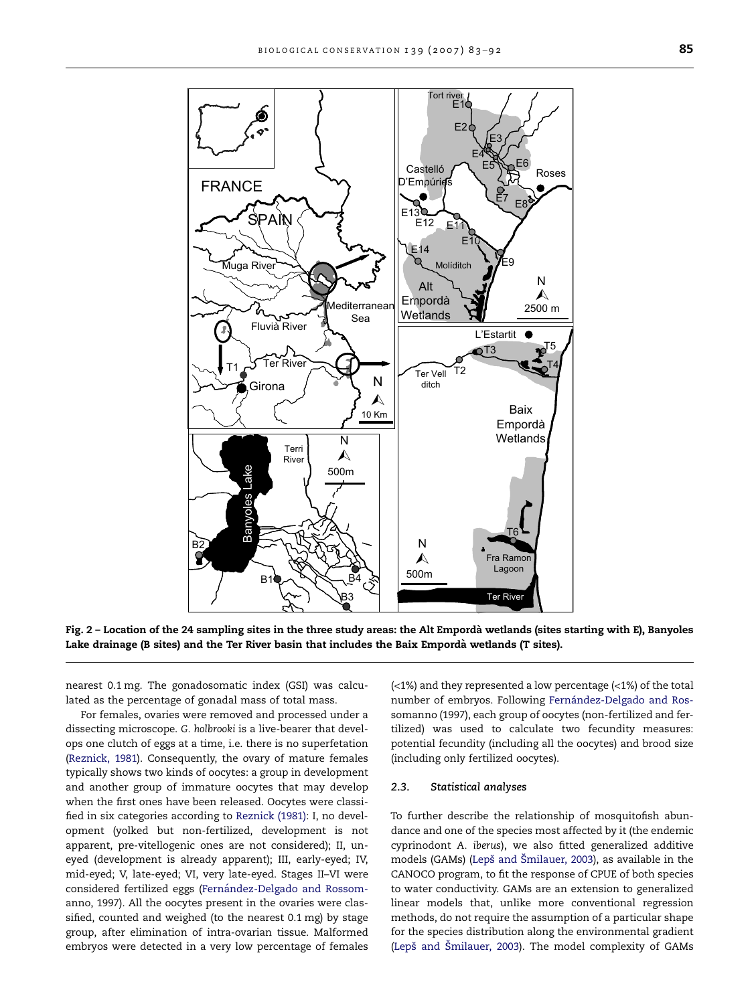<span id="page-2-0"></span>

Fig. 2 – Location of the 24 sampling sites in the three study areas: the Alt Emporda` wetlands (sites starting with E), Banyoles Lake drainage (B sites) and the Ter River basin that includes the Baix Empordà wetlands (T sites).

nearest 0.1 mg. The gonadosomatic index (GSI) was calculated as the percentage of gonadal mass of total mass.

For females, ovaries were removed and processed under a dissecting microscope. G. holbrooki is a live-bearer that develops one clutch of eggs at a time, i.e. there is no superfetation [\(Reznick, 1981](#page-9-0)). Consequently, the ovary of mature females typically shows two kinds of oocytes: a group in development and another group of immature oocytes that may develop when the first ones have been released. Oocytes were classified in six categories according to [Reznick \(1981\):](#page-9-0) I, no development (yolked but non-fertilized, development is not apparent, pre-vitellogenic ones are not considered); II, uneyed (development is already apparent); III, early-eyed; IV, mid-eyed; V, late-eyed; VI, very late-eyed. Stages II–VI were considered fertilized eggs (Fernández-Delgado and Rossom[anno, 1997](#page-9-0)). All the oocytes present in the ovaries were classified, counted and weighed (to the nearest 0.1 mg) by stage group, after elimination of intra-ovarian tissue. Malformed embryos were detected in a very low percentage of females

(<1%) and they represented a low percentage (<1%) of the total number of embryos. Following Fernández-Delgado and Ros[somanno \(1997\),](#page-9-0) each group of oocytes (non-fertilized and fertilized) was used to calculate two fecundity measures: potential fecundity (including all the oocytes) and brood size (including only fertilized oocytes).

#### 2.3. Statistical analyses

To further describe the relationship of mosquitofish abundance and one of the species most affected by it (the endemic cyprinodont A. iberus), we also fitted generalized additive models (GAMs) (Lepš and Šmilauer, 2003), as available in the CANOCO program, to fit the response of CPUE of both species to water conductivity. GAMs are an extension to generalized linear models that, unlike more conventional regression methods, do not require the assumption of a particular shape for the species distribution along the environmental gradient (Lepš and Šmilauer, 2003). The model complexity of GAMs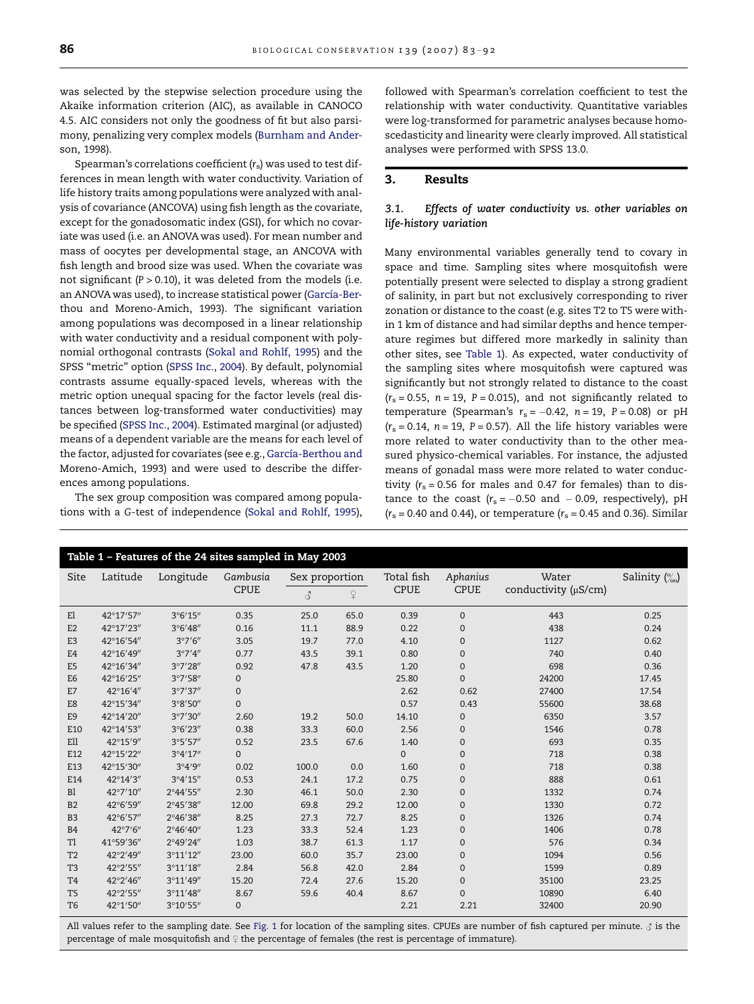<span id="page-3-0"></span>was selected by the stepwise selection procedure using the Akaike information criterion (AIC), as available in CANOCO 4.5. AIC considers not only the goodness of fit but also parsimony, penalizing very complex models ([Burnham and Ander](#page-9-0)[son, 1998\)](#page-9-0).

Spearman's correlations coefficient  $(r_s)$  was used to test differences in mean length with water conductivity. Variation of life history traits among populations were analyzed with analysis of covariance (ANCOVA) using fish length as the covariate, except for the gonadosomatic index (GSI), for which no covariate was used (i.e. an ANOVA was used). For mean number and mass of oocytes per developmental stage, an ANCOVA with fish length and brood size was used. When the covariate was not significant ( $P > 0.10$ ), it was deleted from the models (i.e. an ANOVA was used), to increase statistical power (García-Ber[thou and Moreno-Amich, 1993\)](#page-9-0). The significant variation among populations was decomposed in a linear relationship with water conductivity and a residual component with polynomial orthogonal contrasts ([Sokal and Rohlf, 1995](#page-9-0)) and the SPSS ''metric'' option ([SPSS Inc., 2004](#page-9-0)). By default, polynomial contrasts assume equally-spaced levels, whereas with the metric option unequal spacing for the factor levels (real distances between log-transformed water conductivities) may be specified ([SPSS Inc., 2004\)](#page-9-0). Estimated marginal (or adjusted) means of a dependent variable are the means for each level of the factor, adjusted for covariates (see e.g., García-Berthou and [Moreno-Amich, 1993](#page-9-0)) and were used to describe the differences among populations.

The sex group composition was compared among populations with a G-test of independence ([Sokal and Rohlf, 1995\)](#page-9-0), followed with Spearman's correlation coefficient to test the relationship with water conductivity. Quantitative variables were log-transformed for parametric analyses because homoscedasticity and linearity were clearly improved. All statistical analyses were performed with SPSS 13.0.

### 3. Results

## 3.1. Effects of water conductivity vs. other variables on life-history variation

Many environmental variables generally tend to covary in space and time. Sampling sites where mosquitofish were potentially present were selected to display a strong gradient of salinity, in part but not exclusively corresponding to river zonation or distance to the coast (e.g. sites T2 to T5 were within 1 km of distance and had similar depths and hence temperature regimes but differed more markedly in salinity than other sites, see Table 1). As expected, water conductivity of the sampling sites where mosquitofish were captured was significantly but not strongly related to distance to the coast  $(r<sub>s</sub> = 0.55, n = 19, P = 0.015)$ , and not significantly related to temperature (Spearman's  $r_s = -0.42$ ,  $n = 19$ ,  $P = 0.08$ ) or  $pH$  $(r<sub>s</sub> = 0.14, n = 19, P = 0.57)$ . All the life history variables were more related to water conductivity than to the other measured physico-chemical variables. For instance, the adjusted means of gonadal mass were more related to water conductivity ( $r_s$  = 0.56 for males and 0.47 for females) than to distance to the coast ( $r_s = -0.50$  and  $-0.09$ , respectively), pH  $(r<sub>s</sub> = 0.40$  and 0.44), or temperature  $(r<sub>s</sub> = 0.45$  and 0.36). Similar

| Table 1 - Features of the 24 sites sampled in May 2003 |                   |                    |              |                |          |             |              |                      |                            |  |  |  |
|--------------------------------------------------------|-------------------|--------------------|--------------|----------------|----------|-------------|--------------|----------------------|----------------------------|--|--|--|
| Site                                                   | Latitude          | Longitude          | Gambusia     | Sex proportion |          | Total fish  | Aphanius     | Water                | Salinity $\left(\%\right)$ |  |  |  |
|                                                        |                   |                    | <b>CPUE</b>  | 3              | $\Omega$ | <b>CPUE</b> | <b>CPUE</b>  | conductivity (µS/cm) |                            |  |  |  |
| E1                                                     | 42°17'57"         | $3^{\circ}6'15''$  | 0.35         | 25.0           | 65.0     | 0.39        | $\mathbf{0}$ | 443                  | 0.25                       |  |  |  |
| E2                                                     | 42°17'23"         | $3^{\circ}6'48''$  | 0.16         | 11.1           | 88.9     | 0.22        | 0            | 438                  | 0.24                       |  |  |  |
| E <sub>3</sub>                                         | 42°16'54"         | 3°7'6''            | 3.05         | 19.7           | 77.0     | 4.10        | 0            | 1127                 | 0.62                       |  |  |  |
| E <sub>4</sub>                                         | 42°16'49"         | 3°7'4''            | 0.77         | 43.5           | 39.1     | 0.80        | 0            | 740                  | 0.40                       |  |  |  |
| E <sub>5</sub>                                         | 42°16'34"         | 3°7'28''           | 0.92         | 47.8           | 43.5     | 1.20        | 0            | 698                  | 0.36                       |  |  |  |
| E <sub>6</sub>                                         | 42°16'25"         | 3°7'58''           | $\mathbf{0}$ |                |          | 25.80       | $\mathbf{0}$ | 24200                | 17.45                      |  |  |  |
| E7                                                     | 42°16'4"          | 3°7'37''           | $\mathbf{0}$ |                |          | 2.62        | 0.62         | 27400                | 17.54                      |  |  |  |
| E8                                                     | 42°15'34"         | 3°8'50''           | $\mathbf{0}$ |                |          | 0.57        | 0.43         | 55600                | 38.68                      |  |  |  |
| E <sub>9</sub>                                         | 42°14'20"         | 3°7'30''           | 2.60         | 19.2           | 50.0     | 14.10       | 0            | 6350                 | 3.57                       |  |  |  |
| E10                                                    | 42°14'53"         | $3^{\circ}6'23''$  | 0.38         | 33.3           | 60.0     | 2.56        | 0            | 1546                 | 0.78                       |  |  |  |
| Ell                                                    | 42°15'9"          | 3°5'57''           | 0.52         | 23.5           | 67.6     | 1.40        | 0            | 693                  | 0.35                       |  |  |  |
| E12                                                    | 42°15'22"         | 3°4'17''           | $\Omega$     |                |          | $\Omega$    | 0            | 718                  | 0.38                       |  |  |  |
| E13                                                    | 42°15'30"         | 3°4'9''            | 0.02         | 100.0          | 0.0      | 1.60        | 0            | 718                  | 0.38                       |  |  |  |
| E14                                                    | 42°14'3"          | 3°4'15''           | 0.53         | 24.1           | 17.2     | 0.75        | 0            | 888                  | 0.61                       |  |  |  |
| B <sub>1</sub>                                         | 42°7'10"          | 2°44'55"           | 2.30         | 46.1           | 50.0     | 2.30        | 0            | 1332                 | 0.74                       |  |  |  |
| B <sub>2</sub>                                         | 42°6'59"          | 2°45'38"           | 12.00        | 69.8           | 29.2     | 12.00       | 0            | 1330                 | 0.72                       |  |  |  |
| B <sub>3</sub>                                         | 42°6'57"          | 2°46'38"           | 8.25         | 27.3           | 72.7     | 8.25        | 0            | 1326                 | 0.74                       |  |  |  |
| B <sub>4</sub>                                         | $42^{\circ}7'6''$ | $2^{\circ}46'40''$ | 1.23         | 33.3           | 52.4     | 1.23        | 0            | 1406                 | 0.78                       |  |  |  |
| Tl                                                     | 41°59'36"         | 2°49'24"           | 1.03         | 38.7           | 61.3     | 1.17        | 0            | 576                  | 0.34                       |  |  |  |
| T <sub>2</sub>                                         | 42°2'49"          | 3°11'12''          | 23.00        | 60.0           | 35.7     | 23.00       | 0            | 1094                 | 0.56                       |  |  |  |
| T <sub>3</sub>                                         | 42°2'55"          | 3°11'18''          | 2.84         | 56.8           | 42.0     | 2.84        | 0            | 1599                 | 0.89                       |  |  |  |
| T <sub>4</sub>                                         | 42°2'46"          | 3°11'49"           | 15.20        | 72.4           | 27.6     | 15.20       | 0            | 35100                | 23.25                      |  |  |  |
| T <sub>5</sub>                                         | 42°2'55"          | 3°11'48"           | 8.67         | 59.6           | 40.4     | 8.67        | 0            | 10890                | 6.40                       |  |  |  |
| T <sub>6</sub>                                         | 42°1'50"          | 3°10'55"           | $\mathbf{0}$ |                |          | 2.21        | 2.21         | 32400                | 20.90                      |  |  |  |
|                                                        |                   |                    |              |                |          |             |              |                      |                            |  |  |  |

All values refer to the sampling date. See [Fig. 1](#page-1-0) for location of the sampling sites. CPUEs are number of fish captured per minute.  $\delta$  is the percentage of male mosquitofish and  $\Omega$  the percentage of females (the rest is percentage of immature).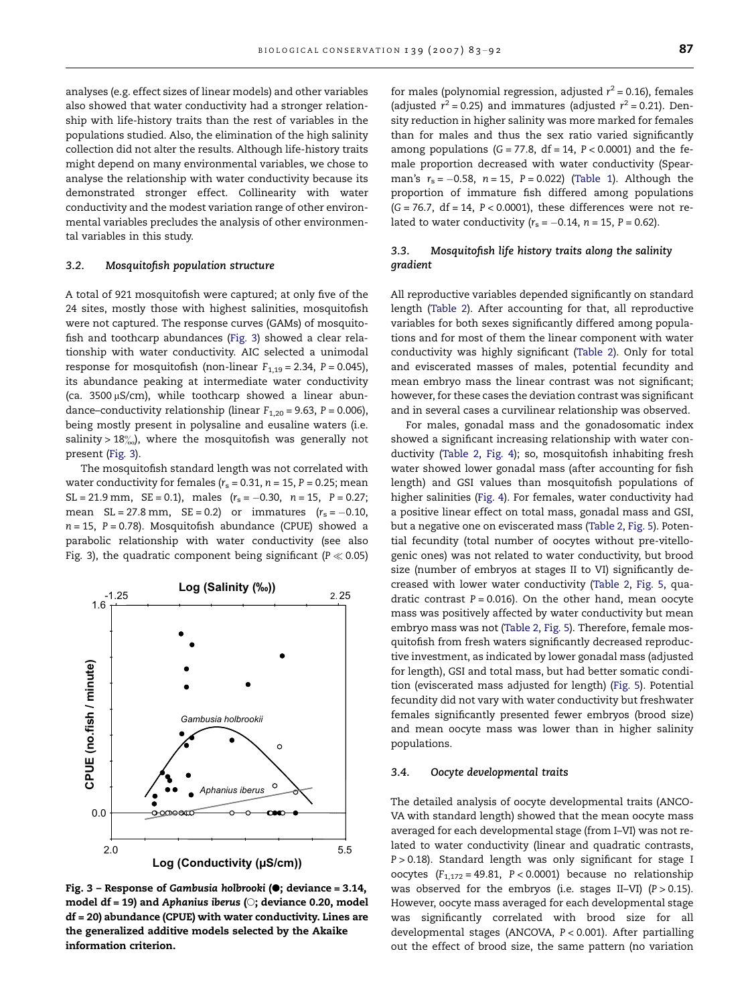analyses (e.g. effect sizes of linear models) and other variables also showed that water conductivity had a stronger relationship with life-history traits than the rest of variables in the populations studied. Also, the elimination of the high salinity collection did not alter the results. Although life-history traits might depend on many environmental variables, we chose to analyse the relationship with water conductivity because its demonstrated stronger effect. Collinearity with water conductivity and the modest variation range of other environmental variables precludes the analysis of other environmental variables in this study.

#### 3.2. Mosquitofish population structure

A total of 921 mosquitofish were captured; at only five of the 24 sites, mostly those with highest salinities, mosquitofish were not captured. The response curves (GAMs) of mosquitofish and toothcarp abundances (Fig. 3) showed a clear relationship with water conductivity. AIC selected a unimodal response for mosquitofish (non-linear  $F_{1,19} = 2.34$ ,  $P = 0.045$ ), its abundance peaking at intermediate water conductivity (ca.  $3500 \mu S/cm$ ), while toothcarp showed a linear abundance–conductivity relationship (linear  $F_{1,20} = 9.63$ ,  $P = 0.006$ ), being mostly present in polysaline and eusaline waters (i.e. salinity >  $18\%$ , where the mosquitofish was generally not present (Fig. 3).

The mosquitofish standard length was not correlated with water conductivity for females ( $r_s$  = 0.31, n = 15, P = 0.25; mean  $SL = 21.9$  mm,  $SE = 0.1$ ), males  $(r_s = -0.30, n = 15, P = 0.27;$ mean  $SL = 27.8$  mm,  $SE = 0.2$ ) or immatures  $(r_s = -0.10,$  $n = 15$ ,  $P = 0.78$ ). Mosquitofish abundance (CPUE) showed a parabolic relationship with water conductivity (see also Fig. 3), the quadratic component being significant ( $P \ll 0.05$ )



Fig. 3 - Response of Gambusia holbrooki ( $\bullet$ ; deviance = 3.14, model df = 19) and Aphanius iberus ( $\heartsuit$ ; deviance 0.20, model df = 20) abundance (CPUE) with water conductivity. Lines are the generalized additive models selected by the Akaike information criterion.

for males (polynomial regression, adjusted  $r^2$  = 0.16), females (adjusted  $r^2 = 0.25$ ) and immatures (adjusted  $r^2 = 0.21$ ). Density reduction in higher salinity was more marked for females than for males and thus the sex ratio varied significantly among populations  $(G = 77.8, df = 14, P < 0.0001)$  and the female proportion decreased with water conductivity (Spearman's  $r_{\rm s}$  =  $-0.58$ , n = 15, P = 0.022) ([Table 1](#page-3-0)). Although the proportion of immature fish differed among populations  $(G = 76.7, df = 14, P < 0.0001)$ , these differences were not related to water conductivity ( $r_{\rm s}$  =  $-0.14$ ,  $n$  = 15, P = 0.62).

## 3.3. Mosquitofish life history traits along the salinity gradient

All reproductive variables depended significantly on standard length [\(Table 2](#page-5-0)). After accounting for that, all reproductive variables for both sexes significantly differed among populations and for most of them the linear component with water conductivity was highly significant ([Table 2\)](#page-5-0). Only for total and eviscerated masses of males, potential fecundity and mean embryo mass the linear contrast was not significant; however, for these cases the deviation contrast was significant and in several cases a curvilinear relationship was observed.

For males, gonadal mass and the gonadosomatic index showed a significant increasing relationship with water conductivity ([Table 2](#page-5-0), [Fig. 4](#page-5-0)); so, mosquitofish inhabiting fresh water showed lower gonadal mass (after accounting for fish length) and GSI values than mosquitofish populations of higher salinities ([Fig. 4](#page-5-0)). For females, water conductivity had a positive linear effect on total mass, gonadal mass and GSI, but a negative one on eviscerated mass ([Table 2](#page-5-0), [Fig. 5](#page-6-0)). Potential fecundity (total number of oocytes without pre-vitellogenic ones) was not related to water conductivity, but brood size (number of embryos at stages II to VI) significantly decreased with lower water conductivity ([Table 2](#page-5-0), [Fig. 5](#page-6-0), quadratic contrast  $P = 0.016$ ). On the other hand, mean oocyte mass was positively affected by water conductivity but mean embryo mass was not [\(Table 2,](#page-5-0) [Fig. 5\)](#page-6-0). Therefore, female mosquitofish from fresh waters significantly decreased reproductive investment, as indicated by lower gonadal mass (adjusted for length), GSI and total mass, but had better somatic condition (eviscerated mass adjusted for length) ([Fig. 5\)](#page-6-0). Potential fecundity did not vary with water conductivity but freshwater females significantly presented fewer embryos (brood size) and mean oocyte mass was lower than in higher salinity populations.

#### 3.4. Oocyte developmental traits

The detailed analysis of oocyte developmental traits (ANCO-VA with standard length) showed that the mean oocyte mass averaged for each developmental stage (from I–VI) was not related to water conductivity (linear and quadratic contrasts,  $P > 0.18$ ). Standard length was only significant for stage I oocytes  $(F_{1,172} = 49.81, P < 0.0001)$  because no relationship was observed for the embryos (i.e. stages II-VI)  $(P > 0.15)$ . However, oocyte mass averaged for each developmental stage was significantly correlated with brood size for all developmental stages (ANCOVA, P < 0.001). After partialling out the effect of brood size, the same pattern (no variation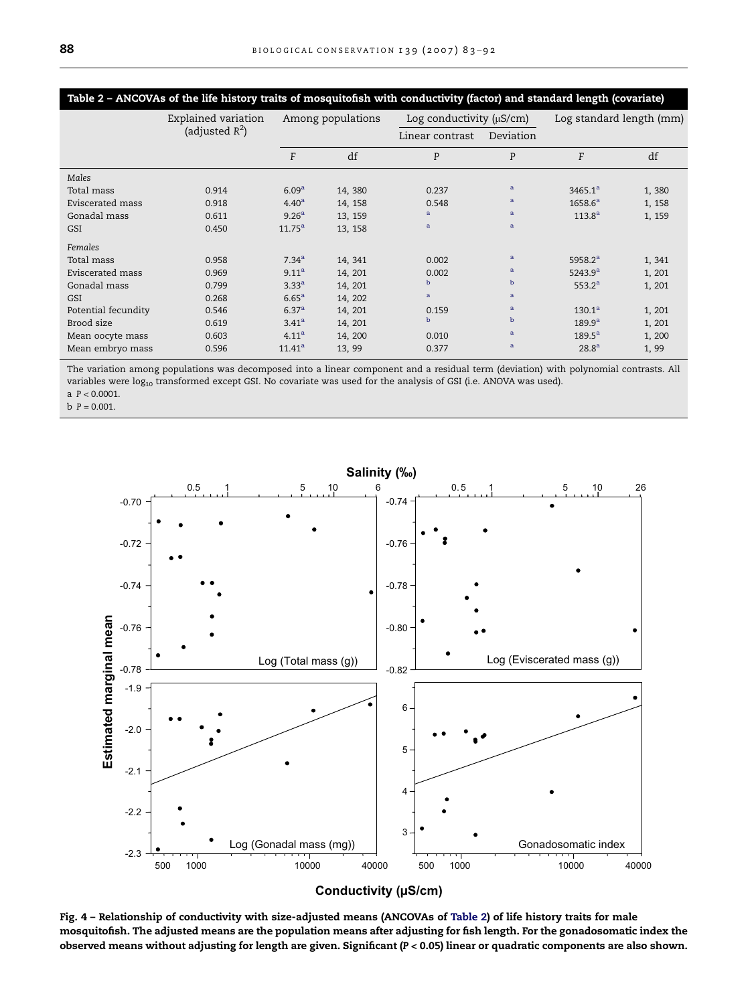<span id="page-5-0"></span>

| Table 2 - ANCOVAs of the life history traits of mosquitofish with conductivity (factor) and standard length (covariate) |                     |                   |         |                               |              |                          |        |  |  |  |  |
|-------------------------------------------------------------------------------------------------------------------------|---------------------|-------------------|---------|-------------------------------|--------------|--------------------------|--------|--|--|--|--|
|                                                                                                                         | Explained variation | Among populations |         | Log conductivity $(\mu S/cm)$ |              | Log standard length (mm) |        |  |  |  |  |
|                                                                                                                         | (adjusted $R^2$ )   |                   |         | Linear contrast               | Deviation    |                          |        |  |  |  |  |
|                                                                                                                         |                     | F                 | df      | P                             | P            | F                        | df     |  |  |  |  |
| Males                                                                                                                   |                     |                   |         |                               |              |                          |        |  |  |  |  |
| Total mass                                                                                                              | 0.914               | 6.09 <sup>a</sup> | 14, 380 | 0.237                         | $\mathbf{a}$ | 3465.1 <sup>a</sup>      | 1,380  |  |  |  |  |
| Eviscerated mass                                                                                                        | 0.918               | 4.40 <sup>a</sup> | 14, 158 | 0.548                         | $\mathbf{a}$ | 1658.6 <sup>a</sup>      | 1, 158 |  |  |  |  |
| Gonadal mass                                                                                                            | 0.611               | 9.26 <sup>a</sup> | 13, 159 | $\mathbf{a}$                  | a            | $113.8^{a}$              | 1, 159 |  |  |  |  |
| GSI                                                                                                                     | 0.450               | $11.75^{\rm a}$   | 13, 158 | a                             | $\mathbf{a}$ |                          |        |  |  |  |  |
| Females                                                                                                                 |                     |                   |         |                               |              |                          |        |  |  |  |  |
| Total mass                                                                                                              | 0.958               | $7.34^{a}$        | 14, 341 | 0.002                         | $\mathbf{a}$ | 5958.2 <sup>a</sup>      | 1,341  |  |  |  |  |
| Eviscerated mass                                                                                                        | 0.969               | 9.11 <sup>a</sup> | 14, 201 | 0.002                         | a            | 5243.9 <sup>a</sup>      | 1, 201 |  |  |  |  |
| Gonadal mass                                                                                                            | 0.799               | $3.33^{a}$        | 14, 201 | $\mathbf b$                   | b            | 553.2 <sup>a</sup>       | 1, 201 |  |  |  |  |
| GSI                                                                                                                     | 0.268               | $6.65^{\rm a}$    | 14, 202 | a                             | a            |                          |        |  |  |  |  |
| Potential fecundity                                                                                                     | 0.546               | 6.37 <sup>a</sup> | 14, 201 | 0.159                         | $\mathbf{a}$ | 130.1 <sup>a</sup>       | 1, 201 |  |  |  |  |
| Brood size                                                                                                              | 0.619               | $3.41^{\rm a}$    | 14, 201 | $\mathbf b$                   | $\mathbf b$  | 189.9 <sup>a</sup>       | 1, 201 |  |  |  |  |
| Mean oocyte mass                                                                                                        | 0.603               | 4.11 <sup>a</sup> | 14, 200 | 0.010                         | $\mathbf{a}$ | $189.5^{\rm a}$          | 1, 200 |  |  |  |  |
| Mean embryo mass                                                                                                        | 0.596               | $11.41^a$         | 13, 99  | 0.377                         | $\mathbf{a}$ | 28.8 <sup>a</sup>        | 1,99   |  |  |  |  |

The variation among populations was decomposed into a linear component and a residual term (deviation) with polynomial contrasts. All variables were  $log_{10}$  transformed except GSI. No covariate was used for the analysis of GSI (i.e. ANOVA was used). a  $P < 0.0001$ .

 $b$   $P = 0.001$ .



Fig. 4 – Relationship of conductivity with size-adjusted means (ANCOVAs of Table 2) of life history traits for male mosquitofish. The adjusted means are the population means after adjusting for fish length. For the gonadosomatic index the observed means without adjusting for length are given. Significant (P < 0.05) linear or quadratic components are also shown.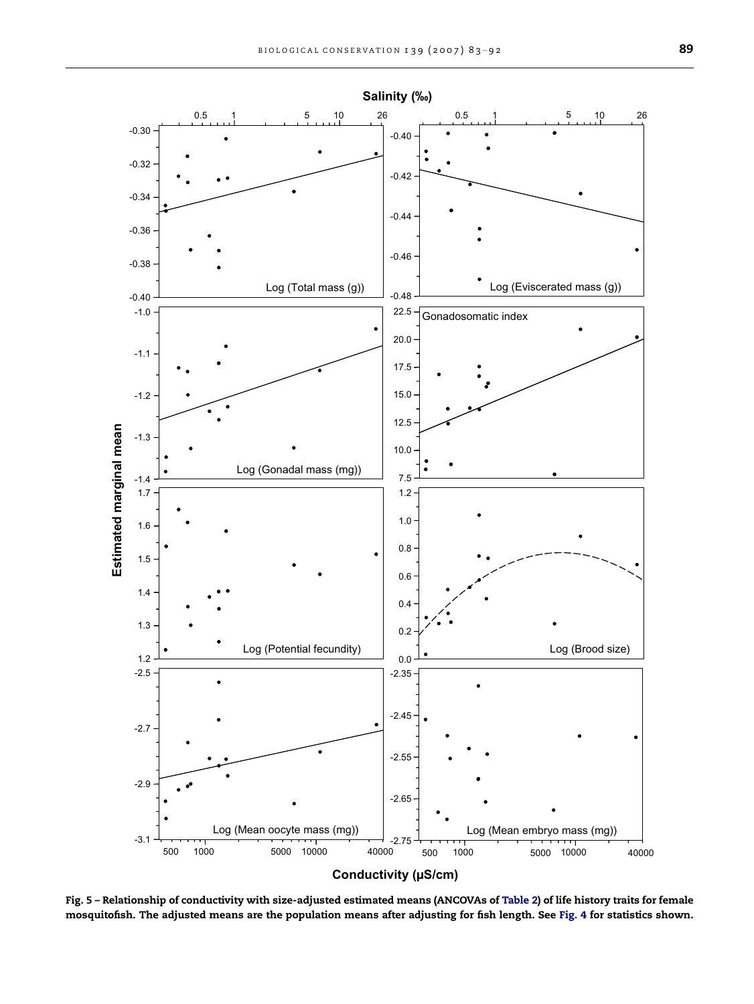<span id="page-6-0"></span>

Fig. 5 – Relationship of conductivity with size-adjusted estimated means (ANCOVAs of [Table 2\)](#page-5-0) of life history traits for female mosquitofish. The adjusted means are the population means after adjusting for fish length. See [Fig. 4](#page-5-0) for statistics shown.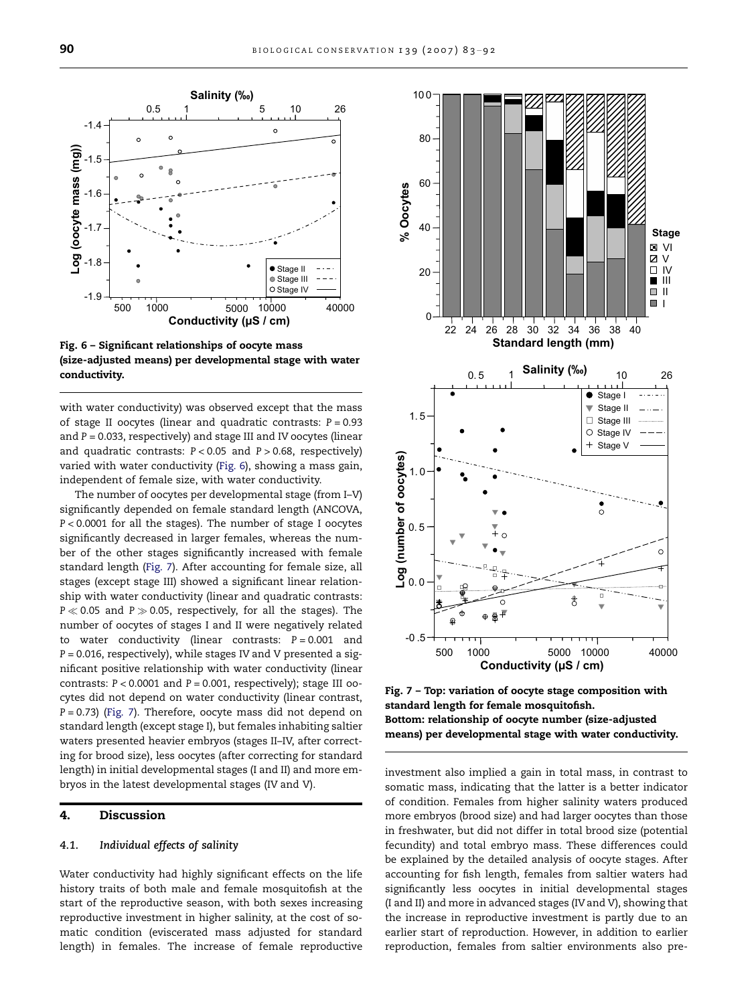

Fig. 6 – Significant relationships of oocyte mass (size-adjusted means) per developmental stage with water conductivity.

with water conductivity) was observed except that the mass of stage II oocytes (linear and quadratic contrasts:  $P = 0.93$ and  $P = 0.033$ , respectively) and stage III and IV oocytes (linear and quadratic contrasts:  $P < 0.05$  and  $P > 0.68$ , respectively) varied with water conductivity (Fig. 6), showing a mass gain, independent of female size, with water conductivity.

The number of oocytes per developmental stage (from I–V) significantly depended on female standard length (ANCOVA, P < 0.0001 for all the stages). The number of stage I oocytes significantly decreased in larger females, whereas the number of the other stages significantly increased with female standard length (Fig. 7). After accounting for female size, all stages (except stage III) showed a significant linear relationship with water conductivity (linear and quadratic contrasts:  $P \ll 0.05$  and  $P \gg 0.05$ , respectively, for all the stages). The number of oocytes of stages I and II were negatively related to water conductivity (linear contrasts:  $P = 0.001$  and P = 0.016, respectively), while stages IV and V presented a significant positive relationship with water conductivity (linear contrasts:  $P < 0.0001$  and  $P = 0.001$ , respectively); stage III oocytes did not depend on water conductivity (linear contrast,  $P = 0.73$ ) (Fig. 7). Therefore, oocyte mass did not depend on standard length (except stage I), but females inhabiting saltier waters presented heavier embryos (stages II–IV, after correcting for brood size), less oocytes (after correcting for standard length) in initial developmental stages (I and II) and more embryos in the latest developmental stages (IV and V).

## 4. Discussion

#### 4.1. Individual effects of salinity

Water conductivity had highly significant effects on the life history traits of both male and female mosquitofish at the start of the reproductive season, with both sexes increasing reproductive investment in higher salinity, at the cost of somatic condition (eviscerated mass adjusted for standard length) in females. The increase of female reproductive



Fig. 7 – Top: variation of oocyte stage composition with standard length for female mosquitofish. Bottom: relationship of oocyte number (size-adjusted means) per developmental stage with water conductivity.

investment also implied a gain in total mass, in contrast to somatic mass, indicating that the latter is a better indicator of condition. Females from higher salinity waters produced more embryos (brood size) and had larger oocytes than those in freshwater, but did not differ in total brood size (potential fecundity) and total embryo mass. These differences could be explained by the detailed analysis of oocyte stages. After accounting for fish length, females from saltier waters had significantly less oocytes in initial developmental stages (I and II) and more in advanced stages (IV and V), showing that the increase in reproductive investment is partly due to an earlier start of reproduction. However, in addition to earlier reproduction, females from saltier environments also pre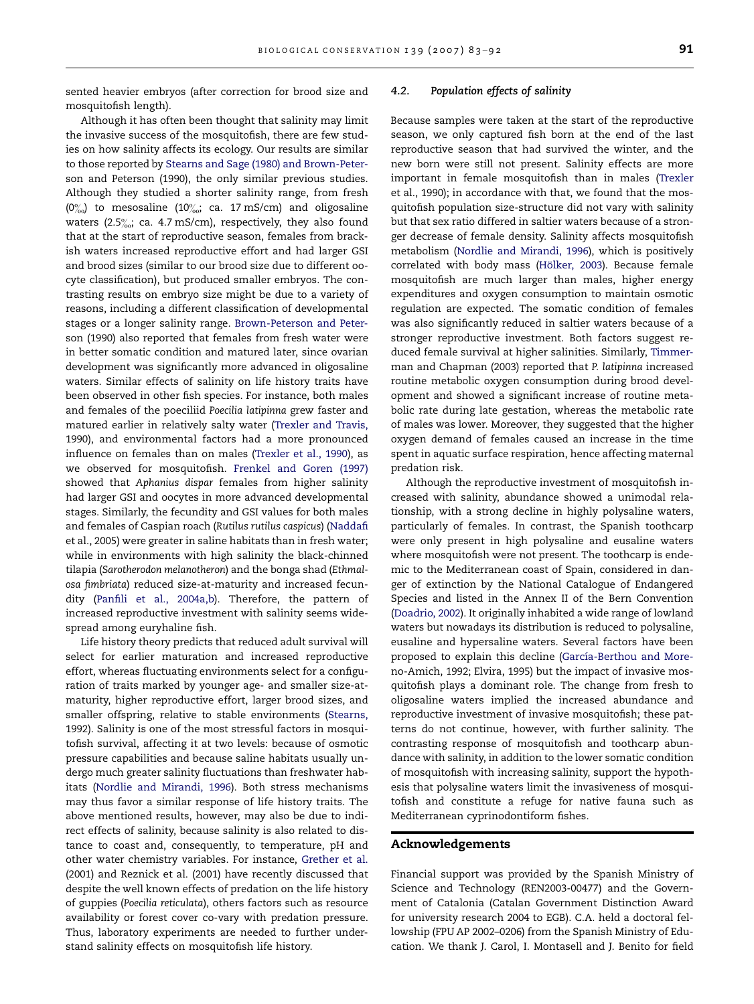sented heavier embryos (after correction for brood size and mosquitofish length).

Although it has often been thought that salinity may limit the invasive success of the mosquitofish, there are few studies on how salinity affects its ecology. Our results are similar to those reported by [Stearns and Sage \(1980\) and Brown-Peter](#page-9-0)[son and Peterson \(1990\),](#page-9-0) the only similar previous studies. Although they studied a shorter salinity range, from fresh  $(0\%_{00})$  to mesosaline  $(10\%_{00})$  ca. 17 mS/cm) and oligosaline waters  $(2.5\%_{00};$  ca. 4.7 mS/cm), respectively, they also found that at the start of reproductive season, females from brackish waters increased reproductive effort and had larger GSI and brood sizes (similar to our brood size due to different oocyte classification), but produced smaller embryos. The contrasting results on embryo size might be due to a variety of reasons, including a different classification of developmental stages or a longer salinity range. [Brown-Peterson and Peter](#page-9-0)[son \(1990\)](#page-9-0) also reported that females from fresh water were in better somatic condition and matured later, since ovarian development was significantly more advanced in oligosaline waters. Similar effects of salinity on life history traits have been observed in other fish species. For instance, both males and females of the poeciliid Poecilia latipinna grew faster and matured earlier in relatively salty water ([Trexler and Travis,](#page-9-0) [1990](#page-9-0)), and environmental factors had a more pronounced influence on females than on males ([Trexler et al., 1990\)](#page-9-0), as we observed for mosquitofish. [Frenkel and Goren \(1997\)](#page-9-0) showed that Aphanius dispar females from higher salinity had larger GSI and oocytes in more advanced developmental stages. Similarly, the fecundity and GSI values for both males and females of Caspian roach (Rutilus rutilus caspicus) ([Naddafi](#page-9-0) [et al., 2005](#page-9-0)) were greater in saline habitats than in fresh water; while in environments with high salinity the black-chinned tilapia (Sarotherodon melanotheron) and the bonga shad (Ethmalosa fimbriata) reduced size-at-maturity and increased fecundity [\(Panfili et al., 2004a,b](#page-9-0)). Therefore, the pattern of increased reproductive investment with salinity seems widespread among euryhaline fish.

Life history theory predicts that reduced adult survival will select for earlier maturation and increased reproductive effort, whereas fluctuating environments select for a configuration of traits marked by younger age- and smaller size-atmaturity, higher reproductive effort, larger brood sizes, and smaller offspring, relative to stable environments [\(Stearns,](#page-9-0) [1992](#page-9-0)). Salinity is one of the most stressful factors in mosquitofish survival, affecting it at two levels: because of osmotic pressure capabilities and because saline habitats usually undergo much greater salinity fluctuations than freshwater habitats ([Nordlie and Mirandi, 1996\)](#page-9-0). Both stress mechanisms may thus favor a similar response of life history traits. The above mentioned results, however, may also be due to indirect effects of salinity, because salinity is also related to distance to coast and, consequently, to temperature, pH and other water chemistry variables. For instance, [Grether et al.](#page-9-0) [\(2001\) and Reznick et al. \(2001\)](#page-9-0) have recently discussed that despite the well known effects of predation on the life history of guppies (Poecilia reticulata), others factors such as resource availability or forest cover co-vary with predation pressure. Thus, laboratory experiments are needed to further understand salinity effects on mosquitofish life history.

## 4.2. Population effects of salinity

Because samples were taken at the start of the reproductive season, we only captured fish born at the end of the last reproductive season that had survived the winter, and the new born were still not present. Salinity effects are more important in female mosquitofish than in males ([Trexler](#page-9-0) [et al., 1990](#page-9-0)); in accordance with that, we found that the mosquitofish population size-structure did not vary with salinity but that sex ratio differed in saltier waters because of a stronger decrease of female density. Salinity affects mosquitofish metabolism [\(Nordlie and Mirandi, 1996\)](#page-9-0), which is positively correlated with body mass (Hölker, 2003). Because female mosquitofish are much larger than males, higher energy expenditures and oxygen consumption to maintain osmotic regulation are expected. The somatic condition of females was also significantly reduced in saltier waters because of a stronger reproductive investment. Both factors suggest reduced female survival at higher salinities. Similarly, [Timmer](#page-9-0)[man and Chapman \(2003\)](#page-9-0) reported that P. latipinna increased routine metabolic oxygen consumption during brood development and showed a significant increase of routine metabolic rate during late gestation, whereas the metabolic rate of males was lower. Moreover, they suggested that the higher oxygen demand of females caused an increase in the time spent in aquatic surface respiration, hence affecting maternal predation risk.

Although the reproductive investment of mosquitofish increased with salinity, abundance showed a unimodal relationship, with a strong decline in highly polysaline waters, particularly of females. In contrast, the Spanish toothcarp were only present in high polysaline and eusaline waters where mosquitofish were not present. The toothcarp is endemic to the Mediterranean coast of Spain, considered in danger of extinction by the National Catalogue of Endangered Species and listed in the Annex II of the Bern Convention [\(Doadrio, 2002\)](#page-9-0). It originally inhabited a wide range of lowland waters but nowadays its distribution is reduced to polysaline, eusaline and hypersaline waters. Several factors have been proposed to explain this decline (García-Berthou and More[no-Amich, 1992; Elvira, 1995\)](#page-9-0) but the impact of invasive mosquitofish plays a dominant role. The change from fresh to oligosaline waters implied the increased abundance and reproductive investment of invasive mosquitofish; these patterns do not continue, however, with further salinity. The contrasting response of mosquitofish and toothcarp abundance with salinity, in addition to the lower somatic condition of mosquitofish with increasing salinity, support the hypothesis that polysaline waters limit the invasiveness of mosquitofish and constitute a refuge for native fauna such as Mediterranean cyprinodontiform fishes.

#### Acknowledgements

Financial support was provided by the Spanish Ministry of Science and Technology (REN2003-00477) and the Government of Catalonia (Catalan Government Distinction Award for university research 2004 to EGB). C.A. held a doctoral fellowship (FPU AP 2002–0206) from the Spanish Ministry of Education. We thank J. Carol, I. Montasell and J. Benito for field